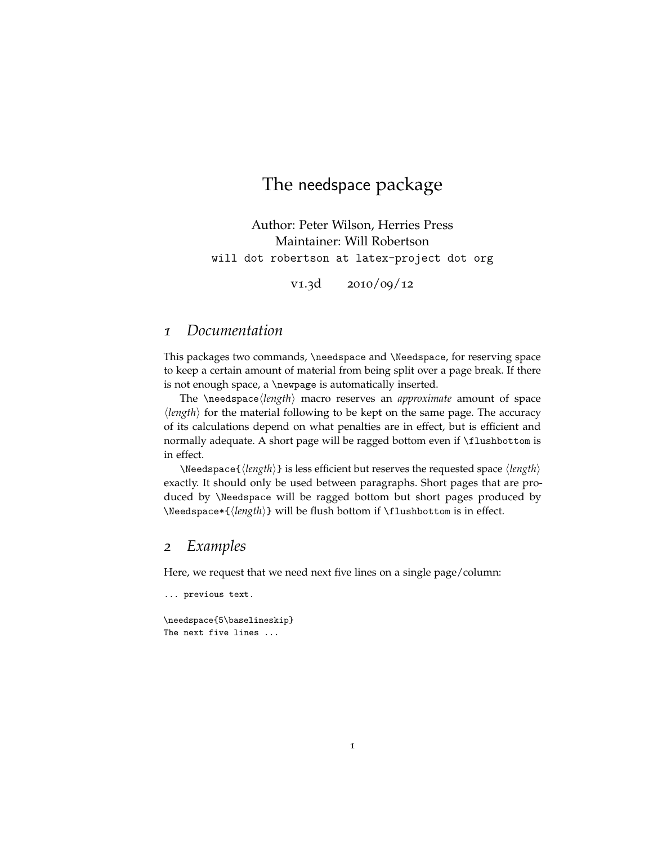## The needspace package

Author: Peter Wilson, Herries Press Maintainer: Will Robertson will dot robertson at latex-project dot org

v1.3d 2010/09/12

#### *1 Documentation*

This packages two commands, \needspace and \Needspace, for reserving space to keep a certain amount of material from being split over a page break. If there is not enough space, a \newpage is automatically inserted.

The \needspace*\length*} macro reserves an *approximate* amount of space  $\langle length \rangle$  for the material following to be kept on the same page. The accuracy of its calculations depend on what penalties are in effect, but is efficient and normally adequate. A short page will be ragged bottom even if \flushbottom is in effect.

 $\N$ eedspace{ $\langle length \rangle$ } is less efficient but reserves the requested space  $\langle length \rangle$ exactly. It should only be used between paragraphs. Short pages that are produced by \Needspace will be ragged bottom but short pages produced by \Needspace\*{\length\} will be flush bottom if \flushbottom is in effect.

#### *2 Examples*

Here, we request that we need next five lines on a single page/column:

```
... previous text.
\needspace{5\baselineskip}
```
The next five lines ...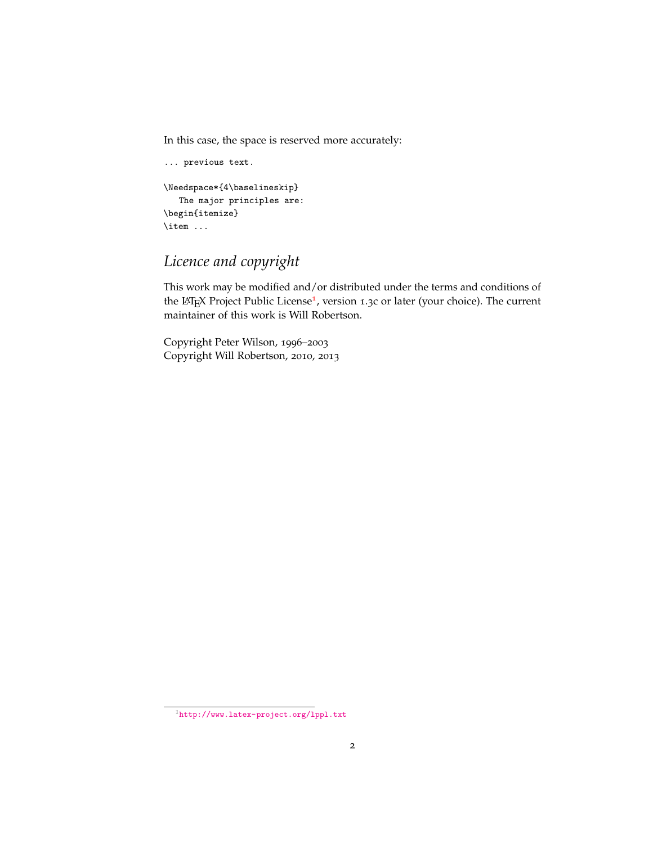In this case, the space is reserved more accurately:

```
... previous text.
\Needspace*{4\baselineskip}
   The major principles are:
\begin{itemize}
\item ...
```
# *Licence and copyright*

This work may be modified and/or distributed under the terms and conditions of the LAT<sub>E</sub>X Project Public License<sup>[1](#page-1-0)</sup>, version 1.3c or later (your choice). The current maintainer of this work is Will Robertson.

Copyright Peter Wilson, 1996–2003 Copyright Will Robertson, 2010, 2013

<span id="page-1-0"></span><sup>1</sup><http://www.latex-project.org/lppl.txt>